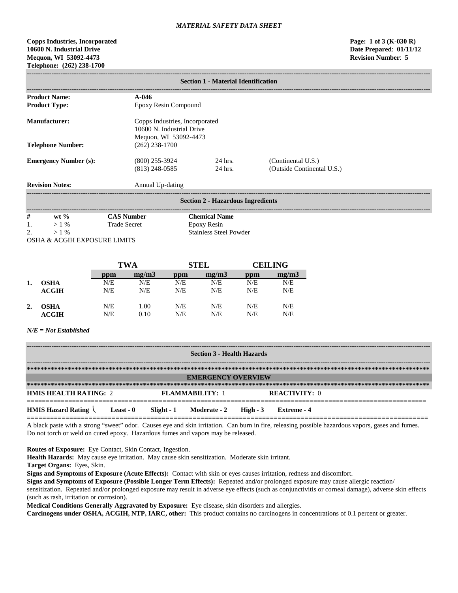## **Copps Industries, Incorporated Page: 1 of 3 (K-030 R) 10600 N. Industrial Drive Date Prepared**: **01/11/12 Mequon, WI 53092-4473 Revision Number**: **5 Telephone: (262) 238-1700**

|                      | <b>Section 1 - Material Identification</b>   |     |                                          |                                                    |                                            |     |                            |  |  |
|----------------------|----------------------------------------------|-----|------------------------------------------|----------------------------------------------------|--------------------------------------------|-----|----------------------------|--|--|
|                      | <b>Product Name:</b><br><b>Product Type:</b> |     | $A - 046$                                | Epoxy Resin Compound                               |                                            |     |                            |  |  |
|                      |                                              |     |                                          |                                                    |                                            |     |                            |  |  |
| <b>Manufacturer:</b> |                                              |     |                                          | Copps Industries, Incorporated                     |                                            |     |                            |  |  |
|                      |                                              |     |                                          | 10600 N. Industrial Drive<br>Mequon, WI 53092-4473 |                                            |     |                            |  |  |
|                      | <b>Telephone Number:</b>                     |     | $(262)$ 238-1700                         |                                                    |                                            |     |                            |  |  |
|                      |                                              |     |                                          |                                                    | 24 hrs.                                    |     | (Continental U.S.)         |  |  |
|                      | <b>Emergency Number (s):</b>                 |     |                                          | $(800)$ 255-3924<br>$(813)$ 248-0585               |                                            |     | (Outside Continental U.S.) |  |  |
|                      |                                              |     |                                          |                                                    | 24 hrs.                                    |     |                            |  |  |
|                      | <b>Revision Notes:</b>                       |     | Annual Up-dating                         |                                                    |                                            |     |                            |  |  |
|                      |                                              |     |                                          |                                                    | <b>Section 2 - Hazardous Ingredients</b>   |     |                            |  |  |
|                      |                                              |     |                                          |                                                    |                                            |     |                            |  |  |
| $\frac{\#}{1}$       | wt $%$<br>$>1\%$                             |     | <b>CAS Number</b><br><b>Trade Secret</b> |                                                    | <b>Chemical Name</b><br><b>Epoxy Resin</b> |     |                            |  |  |
| 2.                   | $>1\%$                                       |     |                                          |                                                    | <b>Stainless Steel Powder</b>              |     |                            |  |  |
|                      | OSHA & ACGIH EXPOSURE LIMITS                 |     |                                          |                                                    |                                            |     |                            |  |  |
|                      |                                              |     |                                          |                                                    |                                            |     |                            |  |  |
|                      |                                              |     | <b>TWA</b>                               |                                                    | <b>STEL</b>                                |     | <b>CEILING</b>             |  |  |
|                      |                                              | ppm | mg/m3                                    | ppm                                                | mg/m3                                      | ppm | mg/m3                      |  |  |
| 1.                   | <b>OSHA</b>                                  | N/E | N/E                                      | N/E                                                | N/E                                        | N/E | N/E                        |  |  |

| ACGIH       | N/E | N/E  | N/E | N/E | N/E | N/E |
|-------------|-----|------|-----|-----|-----|-----|
| <b>OSHA</b> | N/E | 1.00 | N/E | N/E | N/E | N/E |
| ACGIH       | N/E | 0.10 | N/E | N/E | N/E | N/E |

## *N/E = Not Established*

**2.** 

| <b>Section 3 - Health Hazards</b>                          |                           |  |                                  |  |                      |  |  |
|------------------------------------------------------------|---------------------------|--|----------------------------------|--|----------------------|--|--|
|                                                            |                           |  |                                  |  |                      |  |  |
|                                                            | <b>EMERGENCY OVERVIEW</b> |  |                                  |  |                      |  |  |
|                                                            |                           |  |                                  |  |                      |  |  |
| <b>HMIS HEALTH RATING: 2</b>                               |                           |  | <b>FLAMMABILITY: 1</b>           |  | <b>REACTIVITY: 0</b> |  |  |
| <b>HMIS Hazard Rating <math>\setminus</math> Least - 0</b> |                           |  | Slight - 1 Moderate - 2 High - 3 |  | – Extreme - 4        |  |  |

A black paste with a strong "sweet" odor. Causes eye and skin irritation. Can burn in fire, releasing possible hazardous vapors, gases and fumes. Do not torch or weld on cured epoxy. Hazardous fumes and vapors may be released.

**Routes of Exposure:** Eye Contact, Skin Contact, Ingestion.

**Health Hazards:** May cause eye irritation. May cause skin sensitization. Moderate skin irritant.

**Target Organs:** Eyes, Skin.

**Signs and Symptoms of Exposure (Acute Effects):** Contact with skin or eyes causes irritation, redness and discomfort.

**Signs and Symptoms of Exposure (Possible Longer Term Effects):** Repeated and/or prolonged exposure may cause allergic reaction/ sensitization. Repeated and/or prolonged exposure may result in adverse eye effects (such as conjunctivitis or corneal damage), adverse skin effects (such as rash, irritation or corrosion).

**Medical Conditions Generally Aggravated by Exposure:** Eye disease, skin disorders and allergies.

**Carcinogens under OSHA, ACGIH, NTP, IARC, other:** This product contains no carcinogens in concentrations of 0.1 percent or greater.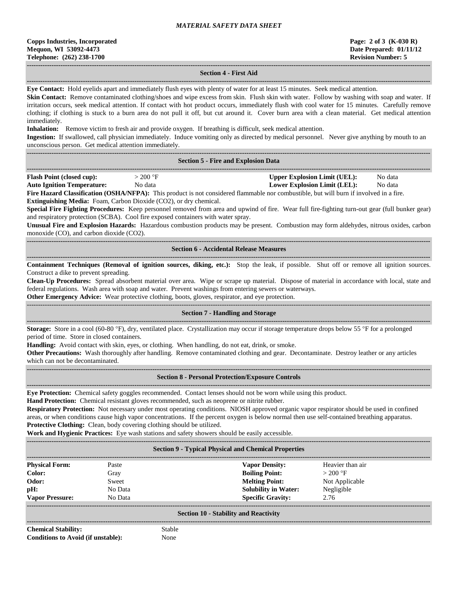#### **------------------------------------------------------------------------------------------------------------------------------------------------------------------------------------ Section 4 - First Aid**

**------------------------------------------------------------------------------------------------------------------------------------------------------------------------------------ Eye Contact:** Hold eyelids apart and immediately flush eyes with plenty of water for at least 15 minutes. Seek medical attention.

**Skin Contact:** Remove contaminated clothing/shoes and wipe excess from skin. Flush skin with water. Follow by washing with soap and water. If irritation occurs, seek medical attention. If contact with hot product occurs, immediately flush with cool water for 15 minutes. Carefully remove clothing; if clothing is stuck to a burn area do not pull it off, but cut around it. Cover burn area with a clean material. Get medical attention immediately.

**Inhalation:** Remove victim to fresh air and provide oxygen. If breathing is difficult, seek medical attention.

**Ingestion:** If swallowed, call physician immediately. Induce vomiting only as directed by medical personnel. Never give anything by mouth to an unconscious person. Get medical attention immediately.

**------------------------------------------------------------------------------------------------------------------------------------------------------------------------------------**

| <b>Section 5 - Fire and Explosion Data</b> |  |
|--------------------------------------------|--|
|--------------------------------------------|--|

| <b>Flash Point (closed cup):</b>  | 200 °F  | <b>Upper Explosion Limit (UEL):</b> | No data |
|-----------------------------------|---------|-------------------------------------|---------|
| <b>Auto Ignition Temperature:</b> | No data | Lower Explosion Limit (LEL):        | No data |

**Fire Hazard Classification (OSHA/NFPA):** This product is not considered flammable nor combustible, but will burn if involved in a fire. **Extinguishing Media:** Foam, Carbon Dioxide (CO2), or dry chemical.

**Special Fire Fighting Procedures:** Keep personnel removed from area and upwind of fire. Wear full fire-fighting turn-out gear (full bunker gear) and respiratory protection (SCBA). Cool fire exposed containers with water spray.

**Unusual Fire and Explosion Hazards:** Hazardous combustion products may be present. Combustion may form aldehydes, nitrous oxides, carbon monoxide (CO), and carbon dioxide (CO2).

#### **------------------------------------------------------------------------------------------------------------------------------------------------------------------------------------ Section 6 - Accidental Release Measures**

**------------------------------------------------------------------------------------------------------------------------------------------------------------------------------------ Containment Techniques (Removal of ignition sources, diking, etc.):** Stop the leak, if possible. Shut off or remove all ignition sources. Construct a dike to prevent spreading.

**Clean-Up Procedures:** Spread absorbent material over area. Wipe or scrape up material. Dispose of material in accordance with local, state and federal regulations. Wash area with soap and water. Prevent washings from entering sewers or waterways.

**Other Emergency Advice:** Wear protective clothing, boots, gloves, respirator, and eye protection.

**------------------------------------------------------------------------------------------------------------------------------------------------------------------------------------**

# ------------------------------------------------------------------------------------------------------------------------------------------------------------------------------------

**Section 7 - Handling and Storage**

**Storage:** Store in a cool (60-80 °F), dry, ventilated place. Crystallization may occur if storage temperature drops below 55 °F for a prolonged period of time. Store in closed containers.

**Handling:** Avoid contact with skin, eyes, or clothing. When handling, do not eat, drink, or smoke.

**Other Precautions:** Wash thoroughly after handling. Remove contaminated clothing and gear. Decontaminate. Destroy leather or any articles which can not be decontaminated.

#### **Section 8 - Personal Protection/Exposure Controls**

**------------------------------------------------------------------------------------------------------------------------------------------------------------------------------------**

**Eye Protection:** Chemical safety goggles recommended. Contact lenses should not be worn while using this product.

**Hand Protection:** Chemical resistant gloves recommended, such as neoprene or nitrite rubber.

**Respiratory Protection:** Not necessary under most operating conditions. NIOSH approved organic vapor respirator should be used in confined areas, or when conditions cause high vapor concentrations. If the percent oxygen is below normal then use self-contained breathing apparatus. **Protective Clothing:** Clean, body covering clothing should be utilized.

**Work and Hygienic Practices:** Eye wash stations and safety showers should be easily accessible.

| <b>Section 9 - Typical Physical and Chemical Properties</b> |         |                             |                  |  |  |  |  |
|-------------------------------------------------------------|---------|-----------------------------|------------------|--|--|--|--|
| <b>Physical Form:</b>                                       | Paste   | <b>Vapor Density:</b>       | Heavier than air |  |  |  |  |
| Color:                                                      | Gray    | <b>Boiling Point:</b>       | $>200$ °F        |  |  |  |  |
| Odor:                                                       | Sweet   | <b>Melting Point:</b>       | Not Applicable   |  |  |  |  |
| pH:                                                         | No Data | <b>Solubility in Water:</b> | Negligible       |  |  |  |  |
| <b>Vapor Pressure:</b>                                      | No Data | <b>Specific Gravity:</b>    | 2.76             |  |  |  |  |
| <b>Section 10 - Stability and Reactivity</b>                |         |                             |                  |  |  |  |  |

**Chemical Stability:** Stable **Conditions to Avoid (if unstable):** None

**------------------------------------------------------------------------------------------------------------------------------------------------------------------------------------**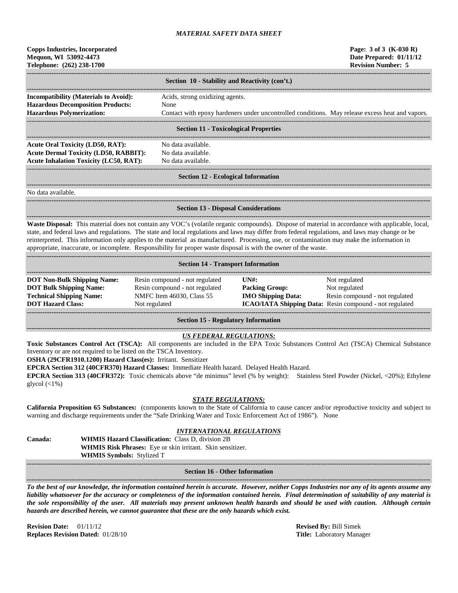| <b>Copps Industries, Incorporated</b> |  |  |  |  |
|---------------------------------------|--|--|--|--|
| Mequon, WI 53092-4473                 |  |  |  |  |
| Telephone: (262) 238-1700             |  |  |  |  |

|                                                                                          | Section 10 - Stability and Reactivity (con't.)                                                  |  |  |  |  |
|------------------------------------------------------------------------------------------|-------------------------------------------------------------------------------------------------|--|--|--|--|
| <b>Incompatibility (Materials to Avoid):</b><br><b>Hazardous Decomposition Products:</b> | Acids, strong oxidizing agents.<br>None                                                         |  |  |  |  |
| <b>Hazardous Polymerization:</b>                                                         | Contact with epoxy hardeners under uncontrolled conditions. May release excess heat and vapors. |  |  |  |  |
| Section 11 - Tovicological Properties                                                    |                                                                                                 |  |  |  |  |

#### **Section 11 - Toxicological Properties**

**------------------------------------------------------------------------------------------------------------------------------------------------------------------------------------** Acute Oral Toxicity (LD50, RAT): No data available. **Acute Dermal Toxicity (LD50, RABBIT):** No data available. **Acute Inhalation Toxicity (LC50, RAT):** No data available.

# ------------------------------------------------------------------------------------------------------------------------------------------------------------------------------------

#### **Section 12 - Ecological Information**

**------------------------------------------------------------------------------------------------------------------------------------------------------------------------------------** No data available.

#### **------------------------------------------------------------------------------------------------------------------------------------------------------------------------------------ Section 13 - Disposal Considerations**

**------------------------------------------------------------------------------------------------------------------------------------------------------------------------------------ Waste Disposal:** This material does not contain any VOC's (volatile organic compounds). Dispose of material in accordance with applicable, local, state, and federal laws and regulations. The state and local regulations and laws may differ from federal regulations, and laws may change or be reinterpreted. This information only applies to the material as manufactured. Processing, use, or contamination may make the information in appropriate, inaccurate, or incomplete. Responsibility for proper waste disposal is with the owner of the waste.

| <b>Section 14 - Transport Information</b>                                                                                           |                                                                                                                |                                                             |                                                                                                                                    |  |  |  |
|-------------------------------------------------------------------------------------------------------------------------------------|----------------------------------------------------------------------------------------------------------------|-------------------------------------------------------------|------------------------------------------------------------------------------------------------------------------------------------|--|--|--|
| <b>DOT Non-Bulk Shipping Name:</b><br><b>DOT Bulk Shipping Name:</b><br><b>Technical Shipping Name:</b><br><b>DOT Hazard Class:</b> | Resin compound - not regulated<br>Resin compound - not regulated<br>NMFC Item 46030, Class 55<br>Not regulated | IINH:<br><b>Packing Group:</b><br><b>IMO Shipping Data:</b> | Not regulated<br>Not regulated<br>Resin compound - not regulated<br><b>ICAO/IATA Shipping Data:</b> Resin compound - not regulated |  |  |  |

**Section 15 - Regulatory Information**

#### **------------------------------------------------------------------------------------------------------------------------------------------------------------------------------------** *US FEDERAL REGULATIONS:*

**Toxic Substances Control Act (TSCA):** All components are included in the EPA Toxic Substances Control Act (TSCA) Chemical Substance Inventory or are not required to be listed on the TSCA Inventory.

**OSHA (29CFR1910.1200) Hazard Class(es):** Irritant. Sensitizer

**EPCRA Section 312 (40CFR370) Hazard Classes:** Immediate Health hazard. Delayed Health Hazard.

**EPCRA Section 313 (40CFR372):** Toxic chemicals above "de minimus" level (% by weight): Stainless Steel Powder (Nickel, <20%); Ethylene glycol  $(\langle 1\% \rangle)$ 

## *STATE REGULATIONS:*

**California Proposition 65 Substances:** (components known to the State of California to cause cancer and/or reproductive toxicity and subject to warning and discharge requirements under the "Safe Drinking Water and Toxic Enforcement Act of 1986"). None

## *INTERNATIONAL REGULATIONS*

| <b>Canada:</b> | <b>WHMIS Hazard Classification: Class D. division 2B</b>          |
|----------------|-------------------------------------------------------------------|
|                | <b>WHMIS Risk Phrases:</b> Eye or skin irritant. Skin sensitizer. |
|                | <b>WHMIS Symbols: Stylized T</b>                                  |

**------------------------------------------------------------------------------------------------------------------------------------------------------------------------------------ Section 16 - Other Information**

**------------------------------------------------------------------------------------------------------------------------------------------------------------------------------------**

*To the best of our knowledge, the information contained herein is accurate. However, neither Copps Industries nor any of its agents assume any liability whatsoever for the accuracy or completeness of the information contained herein. Final determination of suitability of any material is the sole responsibility of the user. All materials may present unknown health hazards and should be used with caution. Although certain hazards are described herein, we cannot guarantee that these are the only hazards which exist.*

**Revision Date:** 01/11/12 **Revised By:** Bill Simek **Replaces Revision Dated:** 01/28/10 **Title:** Laboratory Manager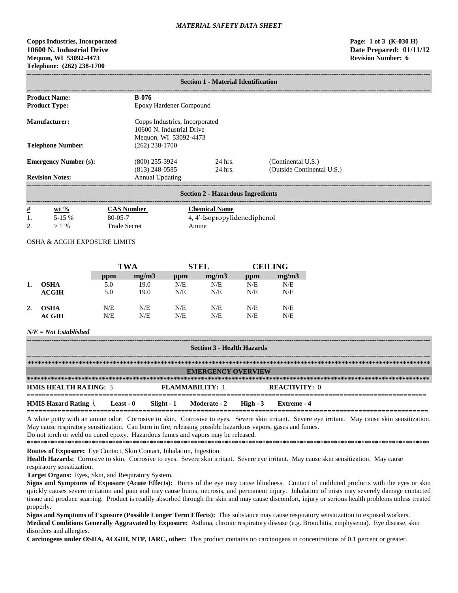## **Copps Industries, Incorporated Page: 1 of 3 (K-030 H) 10600 N. Industrial Drive Date Prepared: 01/11/12 Mequon, WI 53092-4473 Telephone: (262) 238-1700**

|                              | <b>Section 1 - Material Identification</b> |                                      |                                                                                      |                                                  |  |  |  |  |
|------------------------------|--------------------------------------------|--------------------------------------|--------------------------------------------------------------------------------------|--------------------------------------------------|--|--|--|--|
|                              | <b>Product Name:</b>                       | <b>B-076</b>                         |                                                                                      |                                                  |  |  |  |  |
|                              | <b>Product Type:</b>                       | Epoxy Hardener Compound              |                                                                                      |                                                  |  |  |  |  |
|                              | Manufacturer:                              |                                      | Copps Industries, Incorporated<br>10600 N. Industrial Drive<br>Mequon, WI 53092-4473 |                                                  |  |  |  |  |
| <b>Telephone Number:</b>     |                                            | $(262)$ 238-1700                     |                                                                                      |                                                  |  |  |  |  |
| <b>Emergency Number (s):</b> |                                            | $(800)$ 255-3924<br>$(813)$ 248-0585 | 24 hrs.<br>24 hrs.                                                                   | (Continental U.S.)<br>(Outside Continental U.S.) |  |  |  |  |
|                              | <b>Revision Notes:</b>                     | <b>Annual Updating</b>               |                                                                                      |                                                  |  |  |  |  |
|                              | <b>Section 2 - Hazardous Ingredients</b>   |                                      |                                                                                      |                                                  |  |  |  |  |
| #                            | wt $\frac{6}{2}$                           | <b>CAS Number</b>                    | <b>Chemical Name</b>                                                                 |                                                  |  |  |  |  |
|                              | $5-15%$                                    | $80 - 05 - 7$                        | 4, 4'-Isopropylidenediphenol                                                         |                                                  |  |  |  |  |
| 2.                           | $>1\%$                                     | <b>Trade Secret</b>                  | Amine                                                                                |                                                  |  |  |  |  |

## OSHA & ACGIH EXPOSURE LIMITS

|    |             | <b>TWA</b> |       | <b>STEL</b> |       | <b>CEILING</b> |       |
|----|-------------|------------|-------|-------------|-------|----------------|-------|
|    |             | ppm        | mg/m3 | ppm         | mg/m3 | ppm            | mg/m3 |
|    | <b>OSHA</b> | 5.0        | 19.0  | N/E         | N/E   | N/E            | N/E   |
|    | ACGIH       | 5.0        | 19.0  | N/E         | N/E   | N/E            | N/E   |
| 2. | <b>OSHA</b> | N/E        | N/E   | N/E         | N/E   | N/E            | N/E   |
|    | ACGIH       | N/E        | N/E   | N/E         | N/E   | N/E            | N/E   |

#### *N/E = Not Established*

| <b>Section 3 - Health Hazards</b> |           |  |                                  |  |                      |
|-----------------------------------|-----------|--|----------------------------------|--|----------------------|
|                                   |           |  |                                  |  |                      |
| <b>EMERGENCY OVERVIEW</b>         |           |  |                                  |  |                      |
|                                   |           |  |                                  |  |                      |
| <b>HMIS HEALTH RATING: 3</b>      |           |  | <b>FLAMMARILITY: 1</b>           |  | <b>REACTIVITY: 0</b> |
| <b>HMIS Hazard Rating</b>         | Least - 0 |  | Slight - 1 Moderate - 2 High - 3 |  | Extreme - 4          |

A white putty with an amine odor. Corrosive to skin. Corrosive to eyes. Severe skin irritant. Severe eye irritant. May cause skin sensitization. May cause respiratory sensitization. Can burn in fire, releasing possible hazardous vapors, gases and fumes.

Do not torch or weld on cured epoxy. Hazardous fumes and vapors may be released.

**\*\*\*\*\*\*\*\*\*\*\*\*\*\*\*\*\*\*\*\*\*\*\*\*\*\*\*\*\*\*\*\*\*\*\*\*\*\*\*\*\*\*\*\*\*\*\*\*\*\*\*\*\*\*\*\*\*\*\*\*\*\*\*\*\*\*\*\*\*\*\*\*\*\*\*\*\*\*\*\*\*\*\*\*\*\*\*\*\*\*\*\*\*\*\*\*\*\*\*\*\*\*\*\*\*\*\*\*\*\*\*\*\*\*\*\*\*\* Routes of Exposure:** Eye Contact, Skin Contact, Inhalation, Ingestion.

Health Hazards: Corrosive to skin. Corrosive to eyes. Severe skin irritant. Severe eye irritant. May cause skin sensitization. May cause respiratory sensitization.

**Target Organs:** Eyes, Skin, and Respiratory System.

Signs and Symptoms of Exposure (Acute Effects): Burns of the eye may cause blindness. Contact of undiluted products with the eyes or skin quickly causes severe irritation and pain and may cause burns, necrosis, and permanent injury. Inhalation of mists may severely damage contacted tissue and produce scarring. Product is readily absorbed through the skin and may cause discomfort, injury or serious health problems unless treated properly.

**Signs and Symptoms of Exposure (Possible Longer Term Effects):** This substance may cause respiratory sensitization to exposed workers. **Medical Conditions Generally Aggravated by Exposure:** Asthma, chronic respiratory disease (e.g. Bronchitis, emphysema). Eye disease, skin disorders and allergies.

**Carcinogens under OSHA, ACGIH, NTP, IARC, other:** This product contains no carcinogens in concentrations of 0.1 percent or greater.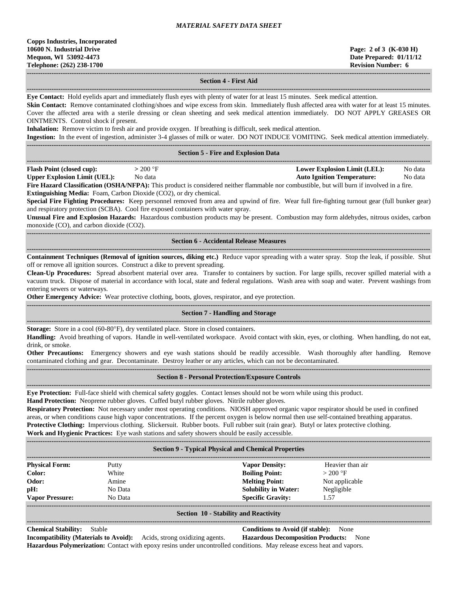## **Section 4 - First Aid**

**------------------------------------------------------------------------------------------------------------------------------------------------------------------------------------ Eye Contact:** Hold eyelids apart and immediately flush eyes with plenty of water for at least 15 minutes. Seek medical attention.

Skin Contact: Remove contaminated clothing/shoes and wipe excess from skin. Immediately flush affected area with water for at least 15 minutes. Cover the affected area with a sterile dressing or clean sheeting and seek medical attention immediately. DO NOT APPLY GREASES OR OINTMENTS. Control shock if present.

**Inhalation:** Remove victim to fresh air and provide oxygen. If breathing is difficult, seek medical attention.

**Ingestion:** In the event of ingestion, administer 3-4 glasses of milk or water. DO NOT INDUCE VOMITING. Seek medical attention immediately.

|                                     |          | <b>Section 5 - Fire and Explosion Data</b>                                                                                                                                                               |                                   |         |
|-------------------------------------|----------|----------------------------------------------------------------------------------------------------------------------------------------------------------------------------------------------------------|-----------------------------------|---------|
| <b>Flash Point (closed cup):</b>    | > 200 °F |                                                                                                                                                                                                          | Lower Explosion Limit (LEL):      | No data |
| <b>Upper Explosion Limit (UEL):</b> | No data  |                                                                                                                                                                                                          | <b>Auto Ignition Temperature:</b> | No data |
|                                     |          | $\Gamma$ and $\Gamma$ and $\Gamma$ and $\Gamma$ and $\Gamma$ and $\Gamma$ and $\Gamma$ and $\Gamma$ and $\Gamma$ are considered points formalle parameterial and $\Gamma$ in $\Gamma$ involved in a fire |                                   |         |

**Fire Hazard Classification (OSHA/NFPA):** This product is considered neither flammable nor combustible, but will burn if involved in a fire. **Extinguishing Media:** Foam, Carbon Dioxide (CO2), or dry chemical.

**Special Fire Fighting Procedures:** Keep personnel removed from area and upwind of fire. Wear full fire-fighting turnout gear (full bunker gear) and respiratory protection (SCBA). Cool fire exposed containers with water spray.

**Unusual Fire and Explosion Hazards:** Hazardous combustion products may be present. Combustion may form aldehydes, nitrous oxides, carbon monoxide (CO), and carbon dioxide (CO2).

#### **------------------------------------------------------------------------------------------------------------------------------------------------------------------------------------ Section 6 - Accidental Release Measures**

**------------------------------------------------------------------------------------------------------------------------------------------------------------------------------------ Containment Techniques (Removal of ignition sources, diking etc.)** Reduce vapor spreading with a water spray. Stop the leak, if possible. Shut off or remove all ignition sources. Construct a dike to prevent spreading.

**Clean-Up Procedures:** Spread absorbent material over area. Transfer to containers by suction. For large spills, recover spilled material with a vacuum truck. Dispose of material in accordance with local, state and federal regulations. Wash area with soap and water. Prevent washings from entering sewers or waterways.

**Other Emergency Advice:** Wear protective clothing, boots, gloves, respirator, and eye protection.

#### **------------------------------------------------------------------------------------------------------------------------------------------------------------------------------------ Section 7 - Handling and Storage**

**------------------------------------------------------------------------------------------------------------------------------------------------------------------------------------ Storage:** Store in a cool (60-80°F), dry ventilated place. Store in closed containers.

**Handling:** Avoid breathing of vapors. Handle in well-ventilated workspace. Avoid contact with skin, eyes, or clothing. When handling, do not eat, drink, or smoke.

**Other Precautions:** Emergency showers and eye wash stations should be readily accessible. Wash thoroughly after handling. Remove contaminated clothing and gear. Decontaminate. Destroy leather or any articles, which can not be decontaminated. **------------------------------------------------------------------------------------------------------------------------------------------------------------------------------------**

#### **Section 8 - Personal Protection/Exposure Controls**

**------------------------------------------------------------------------------------------------------------------------------------------------------------------------------------**

**Eye Protection:** Full-face shield with chemical safety goggles. Contact lenses should not be worn while using this product.

**Hand Protection:** Neoprene rubber gloves. Cuffed butyl rubber gloves. Nitrile rubber gloves.

**Respiratory Protection:** Not necessary under most operating conditions. NIOSH approved organic vapor respirator should be used in confined areas, or when conditions cause high vapor concentrations. If the percent oxygen is below normal then use self-contained breathing apparatus. **Protective Clothing:** Impervious clothing. Slickersuit. Rubber boots. Full rubber suit (rain gear). Butyl or latex protective clothing. **Work and Hygienic Practices:** Eye wash stations and safety showers should be easily accessible.

| <b>Section 9 - Typical Physical and Chemical Properties</b>                                                                                                              |         |                             |                  |  |
|--------------------------------------------------------------------------------------------------------------------------------------------------------------------------|---------|-----------------------------|------------------|--|
| <b>Physical Form:</b>                                                                                                                                                    | Putty   | <b>Vapor Density:</b>       | Heavier than air |  |
| Color:                                                                                                                                                                   | White   | <b>Boiling Point:</b>       | $>200$ °F        |  |
| Odor:                                                                                                                                                                    | Amine   | <b>Melting Point:</b>       | Not applicable   |  |
| pH:                                                                                                                                                                      | No Data | <b>Solubility in Water:</b> | Negligible       |  |
| <b>Vapor Pressure:</b>                                                                                                                                                   | No Data | <b>Specific Gravity:</b>    | 1.57             |  |
| $\mathcal{C}_{\text{c}}$ at $\mathcal{C}_{\text{c}}$ and $\mathcal{C}_{\text{c}}$ and $\mathcal{C}_{\text{c}}$ and $\mathcal{C}_{\text{c}}$ and $\mathcal{C}_{\text{c}}$ |         |                             |                  |  |

#### **Section 10 - Stability and Reactivity**

**------------------------------------------------------------------------------------------------------------------------------------------------------------------------------------**

**Chemical Stability:** Stable **Conditions to Avoid (if stable):** None

**Incompatibility (Materials to Avoid):** Acids, strong oxidizing agents. **Hazardous Decomposition Products:** None **Hazardous Polymerization:** Contact with epoxy resins under uncontrolled conditions. May release excess heat and vapors.